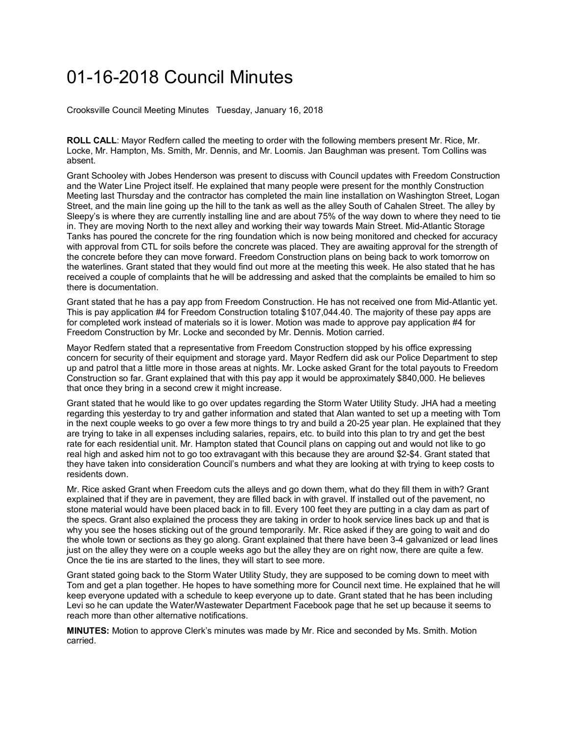## 01-16-2018 Council Minutes

Crooksville Council Meeting Minutes Tuesday, January 16, 2018

**ROLL CALL**: Mayor Redfern called the meeting to order with the following members present Mr. Rice, Mr. Locke, Mr. Hampton, Ms. Smith, Mr. Dennis, and Mr. Loomis. Jan Baughman was present. Tom Collins was absent.

Grant Schooley with Jobes Henderson was present to discuss with Council updates with Freedom Construction and the Water Line Project itself. He explained that many people were present for the monthly Construction Meeting last Thursday and the contractor has completed the main line installation on Washington Street, Logan Street, and the main line going up the hill to the tank as well as the alley South of Cahalen Street. The alley by Sleepy's is where they are currently installing line and are about 75% of the way down to where they need to tie in. They are moving North to the next alley and working their way towards Main Street. Mid-Atlantic Storage Tanks has poured the concrete for the ring foundation which is now being monitored and checked for accuracy with approval from CTL for soils before the concrete was placed. They are awaiting approval for the strength of the concrete before they can move forward. Freedom Construction plans on being back to work tomorrow on the waterlines. Grant stated that they would find out more at the meeting this week. He also stated that he has received a couple of complaints that he will be addressing and asked that the complaints be emailed to him so there is documentation.

Grant stated that he has a pay app from Freedom Construction. He has not received one from Mid-Atlantic yet. This is pay application #4 for Freedom Construction totaling \$107,044.40. The majority of these pay apps are for completed work instead of materials so it is lower. Motion was made to approve pay application #4 for Freedom Construction by Mr. Locke and seconded by Mr. Dennis. Motion carried.

Mayor Redfern stated that a representative from Freedom Construction stopped by his office expressing concern for security of their equipment and storage yard. Mayor Redfern did ask our Police Department to step up and patrol that a little more in those areas at nights. Mr. Locke asked Grant for the total payouts to Freedom Construction so far. Grant explained that with this pay app it would be approximately \$840,000. He believes that once they bring in a second crew it might increase.

Grant stated that he would like to go over updates regarding the Storm Water Utility Study. JHA had a meeting regarding this yesterday to try and gather information and stated that Alan wanted to set up a meeting with Tom in the next couple weeks to go over a few more things to try and build a 20-25 year plan. He explained that they are trying to take in all expenses including salaries, repairs, etc. to build into this plan to try and get the best rate for each residential unit. Mr. Hampton stated that Council plans on capping out and would not like to go real high and asked him not to go too extravagant with this because they are around \$2-\$4. Grant stated that they have taken into consideration Council's numbers and what they are looking at with trying to keep costs to residents down.

Mr. Rice asked Grant when Freedom cuts the alleys and go down them, what do they fill them in with? Grant explained that if they are in pavement, they are filled back in with gravel. If installed out of the pavement, no stone material would have been placed back in to fill. Every 100 feet they are putting in a clay dam as part of the specs. Grant also explained the process they are taking in order to hook service lines back up and that is why you see the hoses sticking out of the ground temporarily. Mr. Rice asked if they are going to wait and do the whole town or sections as they go along. Grant explained that there have been 3-4 galvanized or lead lines just on the alley they were on a couple weeks ago but the alley they are on right now, there are quite a few. Once the tie ins are started to the lines, they will start to see more.

Grant stated going back to the Storm Water Utility Study, they are supposed to be coming down to meet with Tom and get a plan together. He hopes to have something more for Council next time. He explained that he will keep everyone updated with a schedule to keep everyone up to date. Grant stated that he has been including Levi so he can update the Water/Wastewater Department Facebook page that he set up because it seems to reach more than other alternative notifications.

**MINUTES:** Motion to approve Clerk's minutes was made by Mr. Rice and seconded by Ms. Smith. Motion carried.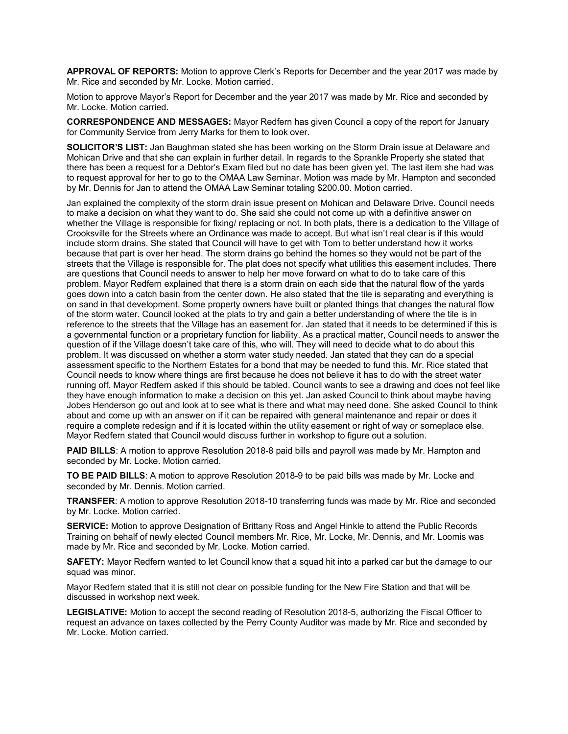**APPROVAL OF REPORTS:** Motion to approve Clerk's Reports for December and the year 2017 was made by Mr. Rice and seconded by Mr. Locke. Motion carried.

Motion to approve Mayor's Report for December and the year 2017 was made by Mr. Rice and seconded by Mr. Locke. Motion carried.

**CORRESPONDENCE AND MESSAGES:** Mayor Redfern has given Council a copy of the report for January for Community Service from Jerry Marks for them to look over.

**SOLICITOR'S LIST:** Jan Baughman stated she has been working on the Storm Drain issue at Delaware and Mohican Drive and that she can explain in further detail. In regards to the Sprankle Property she stated that there has been a request for a Debtor's Exam filed but no date has been given yet. The last item she had was to request approval for her to go to the OMAA Law Seminar. Motion was made by Mr. Hampton and seconded by Mr. Dennis for Jan to attend the OMAA Law Seminar totaling \$200.00. Motion carried.

Jan explained the complexity of the storm drain issue present on Mohican and Delaware Drive. Council needs to make a decision on what they want to do. She said she could not come up with a definitive answer on whether the Village is responsible for fixing/ replacing or not. In both plats, there is a dedication to the Village of Crooksville for the Streets where an Ordinance was made to accept. But what isn't real clear is if this would include storm drains. She stated that Council will have to get with Tom to better understand how it works because that part is over her head. The storm drains go behind the homes so they would not be part of the streets that the Village is responsible for. The plat does not specify what utilities this easement includes. There are questions that Council needs to answer to help her move forward on what to do to take care of this problem. Mayor Redfern explained that there is a storm drain on each side that the natural flow of the yards goes down into a catch basin from the center down. He also stated that the tile is separating and everything is on sand in that development. Some property owners have built or planted things that changes the natural flow of the storm water. Council looked at the plats to try and gain a better understanding of where the tile is in reference to the streets that the Village has an easement for. Jan stated that it needs to be determined if this is a governmental function or a proprietary function for liability. As a practical matter, Council needs to answer the question of if the Village doesn't take care of this, who will. They will need to decide what to do about this problem. It was discussed on whether a storm water study needed. Jan stated that they can do a special assessment specific to the Northern Estates for a bond that may be needed to fund this. Mr. Rice stated that Council needs to know where things are first because he does not believe it has to do with the street water running off. Mayor Redfern asked if this should be tabled. Council wants to see a drawing and does not feel like they have enough information to make a decision on this yet. Jan asked Council to think about maybe having Jobes Henderson go out and look at to see what is there and what may need done. She asked Council to think about and come up with an answer on if it can be repaired with general maintenance and repair or does it require a complete redesign and if it is located within the utility easement or right of way or someplace else. Mayor Redfern stated that Council would discuss further in workshop to figure out a solution.

**PAID BILLS**: A motion to approve Resolution 2018-8 paid bills and payroll was made by Mr. Hampton and seconded by Mr. Locke. Motion carried.

**TO BE PAID BILLS**: A motion to approve Resolution 2018-9 to be paid bills was made by Mr. Locke and seconded by Mr. Dennis. Motion carried.

**TRANSFER**: A motion to approve Resolution 2018-10 transferring funds was made by Mr. Rice and seconded by Mr. Locke. Motion carried.

**SERVICE:** Motion to approve Designation of Brittany Ross and Angel Hinkle to attend the Public Records Training on behalf of newly elected Council members Mr. Rice, Mr. Locke, Mr. Dennis, and Mr. Loomis was made by Mr. Rice and seconded by Mr. Locke. Motion carried.

**SAFETY:** Mayor Redfern wanted to let Council know that a squad hit into a parked car but the damage to our squad was minor.

Mayor Redfern stated that it is still not clear on possible funding for the New Fire Station and that will be discussed in workshop next week.

**LEGISLATIVE:** Motion to accept the second reading of Resolution 2018-5, authorizing the Fiscal Officer to request an advance on taxes collected by the Perry County Auditor was made by Mr. Rice and seconded by Mr. Locke. Motion carried.